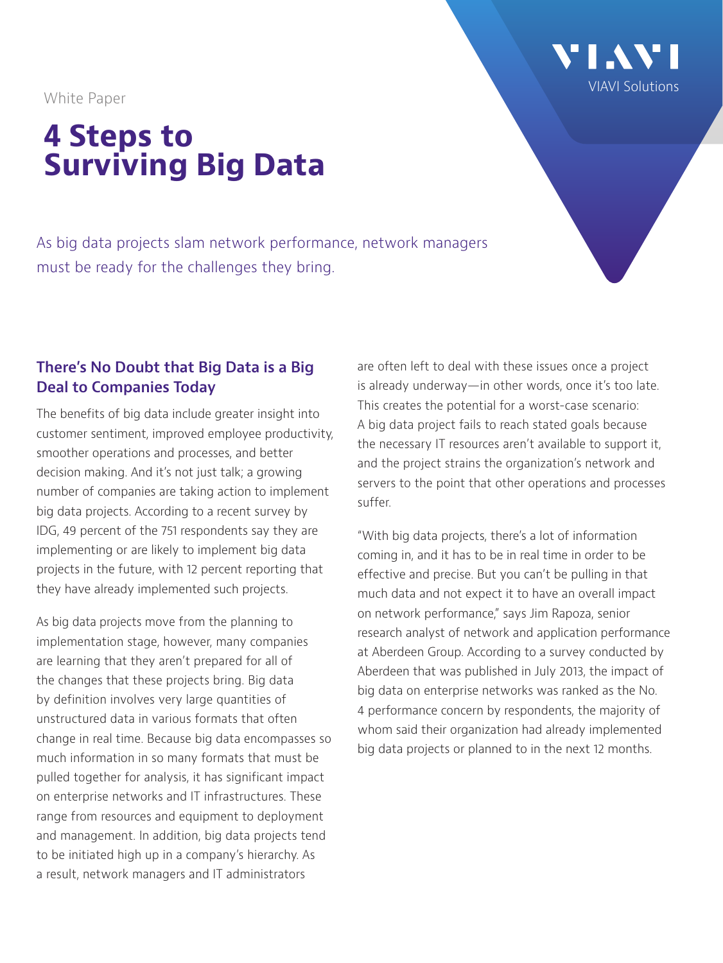White Paper

# **4 Steps to Surviving Big Data**

As big data projects slam network performance, network managers must be ready for the challenges they bring.

## **There's No Doubt that Big Data is a Big Deal to Companies Today**

The benefits of big data include greater insight into customer sentiment, improved employee productivity, smoother operations and processes, and better decision making. And it's not just talk; a growing number of companies are taking action to implement big data projects. According to a recent survey by IDG, 49 percent of the 751 respondents say they are implementing or are likely to implement big data projects in the future, with 12 percent reporting that they have already implemented such projects.

As big data projects move from the planning to implementation stage, however, many companies are learning that they aren't prepared for all of the changes that these projects bring. Big data by definition involves very large quantities of unstructured data in various formats that often change in real time. Because big data encompasses so much information in so many formats that must be pulled together for analysis, it has significant impact on enterprise networks and IT infrastructures. These range from resources and equipment to deployment and management. In addition, big data projects tend to be initiated high up in a company's hierarchy. As a result, network managers and IT administrators

are often left to deal with these issues once a project is already underway—in other words, once it's too late. This creates the potential for a worst-case scenario: A big data project fails to reach stated goals because the necessary IT resources aren't available to support it, and the project strains the organization's network and servers to the point that other operations and processes suffer.

"With big data projects, there's a lot of information coming in, and it has to be in real time in order to be effective and precise. But you can't be pulling in that much data and not expect it to have an overall impact on network performance," says Jim Rapoza, senior research analyst of network and application performance at Aberdeen Group. According to a survey conducted by Aberdeen that was published in July 2013, the impact of big data on enterprise networks was ranked as the No. 4 performance concern by respondents, the majority of whom said their organization had already implemented big data projects or planned to in the next 12 months.

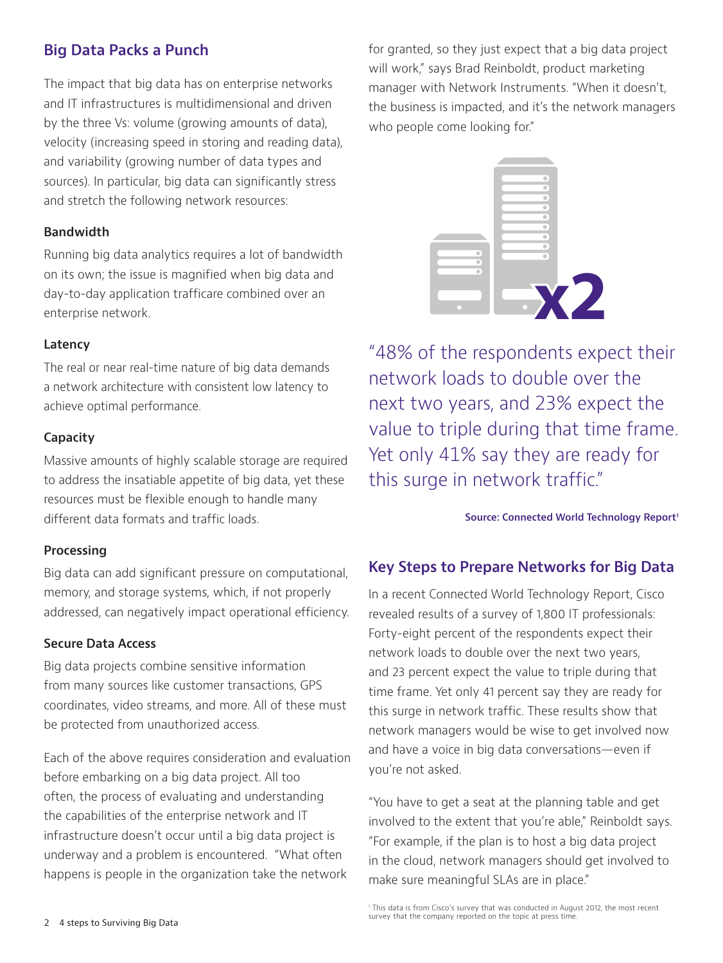## **Big Data Packs a Punch**

The impact that big data has on enterprise networks and IT infrastructures is multidimensional and driven by the three Vs: volume (growing amounts of data), velocity (increasing speed in storing and reading data), and variability (growing number of data types and sources). In particular, big data can significantly stress and stretch the following network resources:

#### **Bandwidth**

Running big data analytics requires a lot of bandwidth on its own; the issue is magnified when big data and day-to-day application trafficare combined over an enterprise network.

#### **Latency**

The real or near real-time nature of big data demands a network architecture with consistent low latency to achieve optimal performance.

### **Capacity**

Massive amounts of highly scalable storage are required to address the insatiable appetite of big data, yet these resources must be flexible enough to handle many different data formats and traffic loads.

#### **Processing**

Big data can add significant pressure on computational, memory, and storage systems, which, if not properly addressed, can negatively impact operational efficiency.

#### **Secure Data Access**

Big data projects combine sensitive information from many sources like customer transactions, GPS coordinates, video streams, and more. All of these must be protected from unauthorized access.

Each of the above requires consideration and evaluation before embarking on a big data project. All too often, the process of evaluating and understanding the capabilities of the enterprise network and IT infrastructure doesn't occur until a big data project is underway and a problem is encountered. "What often happens is people in the organization take the network

for granted, so they just expect that a big data project will work," says Brad Reinboldt, product marketing manager with Network Instruments. "When it doesn't, the business is impacted, and it's the network managers who people come looking for."



"48% of the respondents expect their network loads to double over the next two years, and 23% expect the value to triple during that time frame. Yet only 41% say they are ready for this surge in network traffic."

#### **Source: Connected World Technology Report1**

## **Key Steps to Prepare Networks for Big Data**

In a recent Connected World Technology Report, Cisco revealed results of a survey of 1,800 IT professionals: Forty-eight percent of the respondents expect their network loads to double over the next two years, and 23 percent expect the value to triple during that time frame. Yet only 41 percent say they are ready for this surge in network traffic. These results show that network managers would be wise to get involved now and have a voice in big data conversations—even if you're not asked.

"You have to get a seat at the planning table and get involved to the extent that you're able," Reinboldt says. "For example, if the plan is to host a big data project in the cloud, network managers should get involved to make sure meaningful SLAs are in place."

1 This data is from Cisco's survey that was conducted in August 2012, the most recent survey that the company reported on the topic at press time.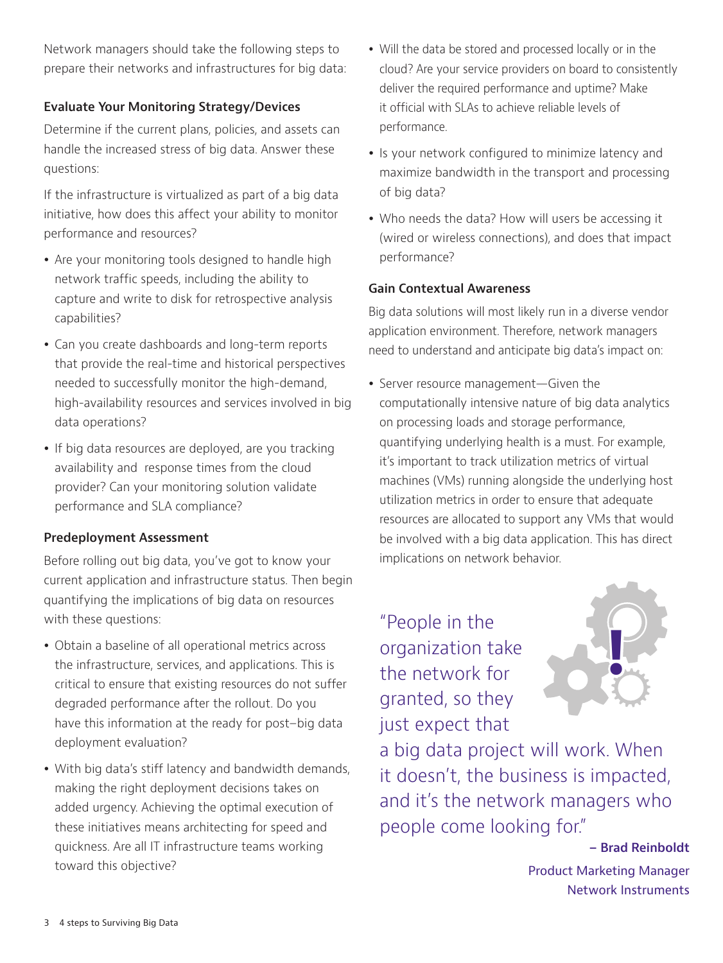Network managers should take the following steps to prepare their networks and infrastructures for big data:

## **Evaluate Your Monitoring Strategy/Devices**

Determine if the current plans, policies, and assets can handle the increased stress of big data. Answer these questions:

If the infrastructure is virtualized as part of a big data initiative, how does this affect your ability to monitor performance and resources?

- Are your monitoring tools designed to handle high network traffic speeds, including the ability to capture and write to disk for retrospective analysis capabilities?
- Can you create dashboards and long-term reports that provide the real-time and historical perspectives needed to successfully monitor the high-demand, high-availability resources and services involved in big data operations?
- If big data resources are deployed, are you tracking availability and response times from the cloud provider? Can your monitoring solution validate performance and SLA compliance?

#### **Predeployment Assessment**

Before rolling out big data, you've got to know your current application and infrastructure status. Then begin quantifying the implications of big data on resources with these questions:

- Obtain a baseline of all operational metrics across the infrastructure, services, and applications. This is critical to ensure that existing resources do not suffer degraded performance after the rollout. Do you have this information at the ready for post–big data deployment evaluation?
- With big data's stiff latency and bandwidth demands, making the right deployment decisions takes on added urgency. Achieving the optimal execution of these initiatives means architecting for speed and quickness. Are all IT infrastructure teams working toward this objective?
- Will the data be stored and processed locally or in the cloud? Are your service providers on board to consistently deliver the required performance and uptime? Make it official with SLAs to achieve reliable levels of performance.
- Is your network configured to minimize latency and maximize bandwidth in the transport and processing of big data?
- Who needs the data? How will users be accessing it (wired or wireless connections), and does that impact performance?

## **Gain Contextual Awareness**

Big data solutions will most likely run in a diverse vendor application environment. Therefore, network managers need to understand and anticipate big data's impact on:

• Server resource management-Given the computationally intensive nature of big data analytics on processing loads and storage performance, quantifying underlying health is a must. For example, it's important to track utilization metrics of virtual machines (VMs) running alongside the underlying host utilization metrics in order to ensure that adequate resources are allocated to support any VMs that would be involved with a big data application. This has direct implications on network behavior.

"People in the organization take the network for granted, so they just expect that



a big data project will work. When it doesn't, the business is impacted, and it's the network managers who people come looking for."

> **– Brad Reinboldt** Product Marketing Manager Network Instruments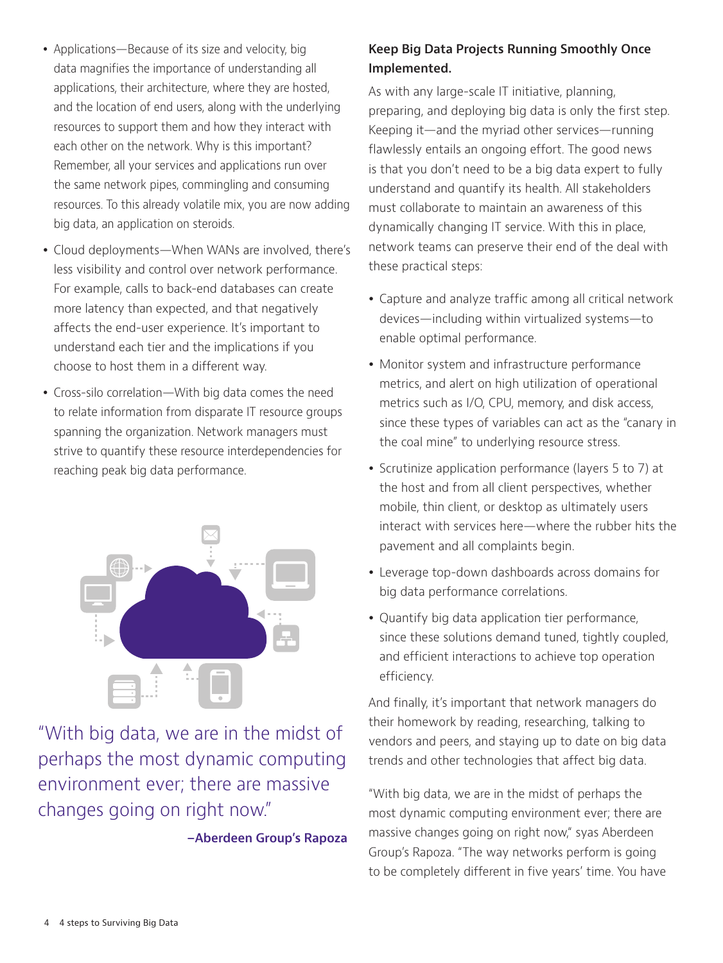- Applications—Because of its size and velocity, big data magnifies the importance of understanding all applications, their architecture, where they are hosted, and the location of end users, along with the underlying resources to support them and how they interact with each other on the network. Why is this important? Remember, all your services and applications run over the same network pipes, commingling and consuming resources. To this already volatile mix, you are now adding big data, an application on steroids.
- Cloud deployments—When WANs are involved, there's less visibility and control over network performance. For example, calls to back-end databases can create more latency than expected, and that negatively affects the end-user experience. It's important to understand each tier and the implications if you choose to host them in a different way.
- Cross-silo correlation—With big data comes the need to relate information from disparate IT resource groups spanning the organization. Network managers must strive to quantify these resource interdependencies for reaching peak big data performance.



"With big data, we are in the midst of perhaps the most dynamic computing environment ever; there are massive changes going on right now."

**–Aberdeen Group's Rapoza**

## **Keep Big Data Projects Running Smoothly Once Implemented.**

As with any large-scale IT initiative, planning, preparing, and deploying big data is only the first step. Keeping it—and the myriad other services—running flawlessly entails an ongoing effort. The good news is that you don't need to be a big data expert to fully understand and quantify its health. All stakeholders must collaborate to maintain an awareness of this dynamically changing IT service. With this in place, network teams can preserve their end of the deal with these practical steps:

- Capture and analyze traffic among all critical network devices—including within virtualized systems—to enable optimal performance.
- Monitor system and infrastructure performance metrics, and alert on high utilization of operational metrics such as I/O, CPU, memory, and disk access, since these types of variables can act as the "canary in the coal mine" to underlying resource stress.
- Scrutinize application performance (layers 5 to 7) at the host and from all client perspectives, whether mobile, thin client, or desktop as ultimately users interact with services here—where the rubber hits the pavement and all complaints begin.
- Leverage top-down dashboards across domains for big data performance correlations.
- Quantify big data application tier performance, since these solutions demand tuned, tightly coupled, and efficient interactions to achieve top operation efficiency.

And finally, it's important that network managers do their homework by reading, researching, talking to vendors and peers, and staying up to date on big data trends and other technologies that affect big data.

"With big data, we are in the midst of perhaps the most dynamic computing environment ever; there are massive changes going on right now," syas Aberdeen Group's Rapoza. "The way networks perform is going to be completely different in five years' time. You have